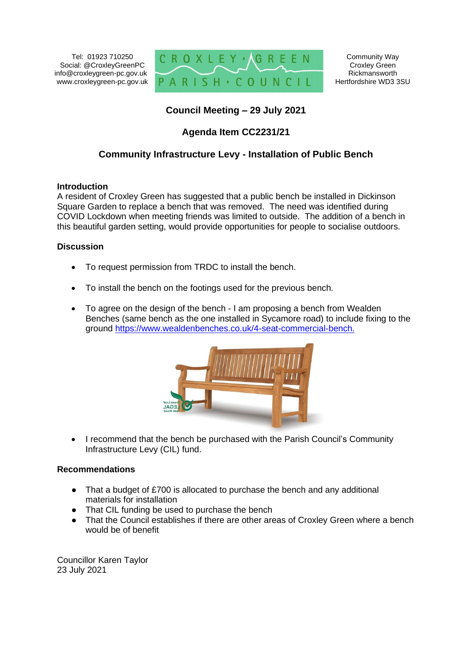Tel: 01923 710250 Social: @CroxleyGreenPC info@croxleygreen-pc.gov.uk www.croxleygreen-pc.gov.uk



Community Way Croxley Green Rickmansworth Hertfordshire WD3 3SU

## **Council Meeting – 29 July 2021**

## **Agenda Item CC2231/21**

### **Community Infrastructure Levy - Installation of Public Bench**

#### **Introduction**

A resident of Croxley Green has suggested that a public bench be installed in Dickinson Square Garden to replace a bench that was removed. The need was identified during COVID Lockdown when meeting friends was limited to outside. The addition of a bench in this beautiful garden setting, would provide opportunities for people to socialise outdoors.

#### **Discussion**

- To request permission from TRDC to install the bench.
- To install the bench on the footings used for the previous bench.
- To agree on the design of the bench I am proposing a bench from Wealden Benches (same bench as the one installed in Sycamore road) to include fixing to the ground [https://www.wealdenbenches.co.uk/4-seat-commercial-bench.](https://www.wealdenbenches.co.uk/4-seat-commercial-bench)



• I recommend that the bench be purchased with the Parish Council's Community Infrastructure Levy (CIL) fund.

#### **Recommendations**

- That a budget of £700 is allocated to purchase the bench and any additional materials for installation
- That CIL funding be used to purchase the bench<br>● That the Council establishes if there are other are
- That the Council establishes if there are other areas of Croxley Green where a bench would be of benefit

Councillor Karen Taylor 23 July 2021